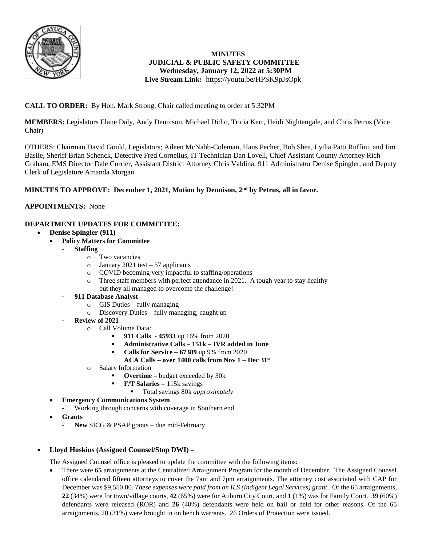

## **MINUTES JUDICIAL & PUBLIC SAFETY COMMITTEE Wednesday, January 12, 2022 at 5:30PM Live Stream Link:** <https://youtu.be/HPSK9pJsOpk>

# **CALL TO ORDER:** By Hon. Mark Strong, Chair called meeting to order at 5:32PM

**MEMBERS:** Legislators Elane Daly, Andy Dennison, Michael Didio, Tricia Kerr, Heidi Nightengale, and Chris Petrus (Vice Chair)

OTHERS: Chairman David Gould, Legislators; Aileen McNabb-Coleman, Hans Pecher, Bob Shea, Lydia Patti Ruffini, and Jim Basile, Sheriff Brian Schenck, Detective Fred Cornelius, IT Technician Dan Lovell, Chief Assistant County Attorney Rich Graham, EMS Director Dale Currier, Assistant District Attorney Chris Valdina, 911 Administrator Denise Spingler, and Deputy Clerk of Legislature Amanda Morgan

# **MINUTES TO APPROVE: December 1, 2021, Motion by Dennison, 2nd by Petrus, all in favor.**

## **APPOINTMENTS:** None

## **DEPARTMENT UPDATES FOR COMMITTEE:**

- **Denise Spingler (911) –**
	- **Policy Matters for Committee** 
		- **Staffing** 
			- o Two vacancies
			- $\circ$  January 2021 test 57 applicants
			- o COVID becoming very impactful to staffing/operations
			- o Three staff members with perfect attendance in 2021. A tough year to stay healthy but they all managed to overcome the challenge!
		- **911 Database Analyst**
			- o GIS Duties fully managing
			- o Discovery Duties fully managing; caught up
		- **Review of 2021** 
			- o Call Volume Data:
				- **911 Calls - 45933** up 16% from 2020
				- **Administrative Calls – 151k – IVR added in June**
				- **Calls for Service – 67389** up 9% from 2020
				- **ACA Calls – over 1400 calls from Nov 1 – Dec 31st**
			- o Salary Information
				- **Overtime –** budget exceeded by 30k
				- **F/T Salaries –** 115k savings
					- Total savings 80k *approximately*
	- **Emergency Communications System**
		- Working through concerns with coverage in Southern end
	- **Grants**
		- New SICG & PSAP grants due mid-February

## **Lloyd Hoskins (Assigned Counsel/Stop DWI) –**

The Assigned Counsel office is pleased to update the committee with the following items:

 There were **65** arraignments at the Centralized Arraignment Program for the month of December. The Assigned Counsel office calendared fifteen attorneys to cover the 7am and 7pm arraignments. The attorney cost associated with CAP for December was \$9,550.00. *These expenses were paid from an ILS (Indigent Legal Services) grant*. Of the 65 arraignments, **22** (34%) were for town/village courts, **42** (65%) were for Auburn City Court, and **1** (1%) was for Family Court. **39** (60%) defendants were released (ROR) and **26** (40%) defendants were held on bail or held for other reasons. Of the 65 arraignments, 20 (31%) were brought in on bench warrants. 26 Orders of Protection were issued.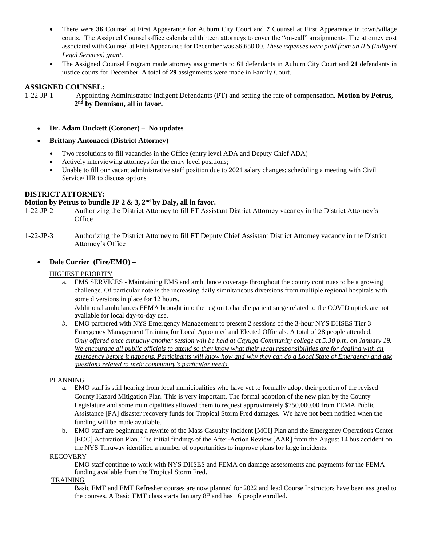- There were 36 Counsel at First Appearance for Auburn City Court and 7 Counsel at First Appearance in town/village courts. The Assigned Counsel office calendared thirteen attorneys to cover the "on-call" arraignments. The attorney cost associated with Counsel at First Appearance for December was \$6,650.00. *These expenses were paid from an ILS (Indigent Legal Services) grant*.
- The Assigned Counsel Program made attorney assignments to **61** defendants in Auburn City Court and **21** defendants in justice courts for December. A total of **29** assignments were made in Family Court.

### **ASSIGNED COUNSEL:**

1-22-JP-1 Appointing Administrator Indigent Defendants (PT) and setting the rate of compensation. **Motion by Petrus, 2 nd by Dennison, all in favor.** 

- **Dr. Adam Duckett (Coroner) No updates**
- **Brittany Antonacci (District Attorney) –**
	- Two resolutions to fill vacancies in the Office (entry level ADA and Deputy Chief ADA)
	- Actively interviewing attorneys for the entry level positions;
	- Unable to fill our vacant administrative staff position due to 2021 salary changes; scheduling a meeting with Civil Service/ HR to discuss options

#### **DISTRICT ATTORNEY:**

#### **Motion by Petrus to bundle JP 2 & 3, 2nd by Daly, all in favor.**

- 1-22-JP-2 Authorizing the District Attorney to fill FT Assistant District Attorney vacancy in the District Attorney's **Office**
- 1-22-JP-3 Authorizing the District Attorney to fill FT Deputy Chief Assistant District Attorney vacancy in the District Attorney's Office

#### **Dale Currier (Fire/EMO) –**

#### HIGHEST PRIORITY

a. EMS SERVICES - Maintaining EMS and ambulance coverage throughout the county continues to be a growing challenge. Of particular note is the increasing daily simultaneous diversions from multiple regional hospitals with some diversions in place for 12 hours.

Additional ambulances FEMA brought into the region to handle patient surge related to the COVID uptick are not available for local day-to-day use.

*b.* EMO partnered with NYS Emergency Management to present 2 sessions of the 3-hour NYS DHSES Tier 3 Emergency Management Training for Local Appointed and Elected Officials. A total of 28 people attended. *Only offered once annually another session will be held at Cayuga Community college at 5:30 p.m. on January 19. We encourage all public officials to attend so they know what their legal responsibilities are for dealing with an emergency before it happens. Participants will know how and why they can do a Local State of Emergency and ask questions related to their community's particular needs.*

#### PLANNING

- a. EMO staff is still hearing from local municipalities who have yet to formally adopt their portion of the revised County Hazard Mitigation Plan. This is very important. The formal adoption of the new plan by the County Legislature and some municipalities allowed them to request approximately \$750,000.00 from FEMA Public Assistance [PA] disaster recovery funds for Tropical Storm Fred damages. We have not been notified when the funding will be made available.
- b. EMO staff are beginning a rewrite of the Mass Casualty Incident [MCI] Plan and the Emergency Operations Center [EOC] Activation Plan. The initial findings of the After-Action Review [AAR] from the August 14 bus accident on the NYS Thruway identified a number of opportunities to improve plans for large incidents.

#### RECOVERY

EMO staff continue to work with NYS DHSES and FEMA on damage assessments and payments for the FEMA funding available from the Tropical Storm Fred.

#### TRAINING

Basic EMT and EMT Refresher courses are now planned for 2022 and lead Course Instructors have been assigned to the courses. A Basic EMT class starts January 8<sup>th</sup> and has 16 people enrolled.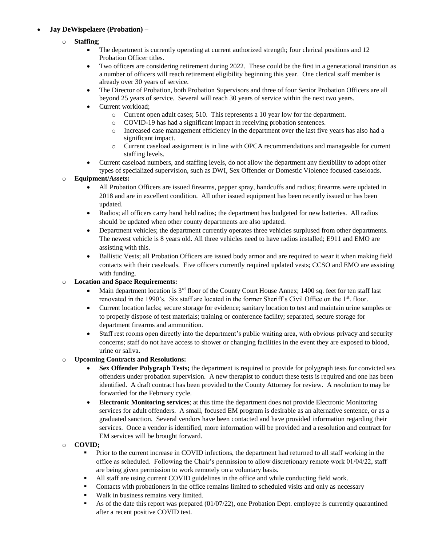# **Jay DeWispelaere (Probation) –**

- o **Staffing**;
	- The department is currently operating at current authorized strength; four clerical positions and 12 Probation Officer titles.
	- Two officers are considering retirement during 2022. These could be the first in a generational transition as a number of officers will reach retirement eligibility beginning this year. One clerical staff member is already over 30 years of service.
	- The Director of Probation, both Probation Supervisors and three of four Senior Probation Officers are all beyond 25 years of service. Several will reach 30 years of service within the next two years.
	- Current workload;
		- o Current open adult cases; 510. This represents a 10 year low for the department.
			- COVID-19 has had a significant impact in receiving probation sentences.
		- o Increased case management efficiency in the department over the last five years has also had a significant impact.
		- o Current caseload assignment is in line with OPCA recommendations and manageable for current staffing levels.
	- Current caseload numbers, and staffing levels, do not allow the department any flexibility to adopt other types of specialized supervision, such as DWI, Sex Offender or Domestic Violence focused caseloads.

#### o **Equipment/Assets:**

- All Probation Officers are issued firearms, pepper spray, handcuffs and radios; firearms were updated in 2018 and are in excellent condition. All other issued equipment has been recently issued or has been updated.
- Radios; all officers carry hand held radios; the department has budgeted for new batteries. All radios should be updated when other county departments are also updated.
- Department vehicles; the department currently operates three vehicles surplused from other departments. The newest vehicle is 8 years old. All three vehicles need to have radios installed; E911 and EMO are assisting with this.
- Ballistic Vests; all Probation Officers are issued body armor and are required to wear it when making field contacts with their caseloads. Five officers currently required updated vests; CCSO and EMO are assisting with funding.

## o **Location and Space Requirements:**

- Main department location is 3rd floor of the County Court House Annex; 1400 sq. feet for ten staff last renovated in the 1990's. Six staff are located in the former Sheriff's Civil Office on the 1<sup>st</sup>. floor.
- Current location lacks; secure storage for evidence; sanitary location to test and maintain urine samples or to properly dispose of test materials; training or conference facility; separated, secure storage for department firearms and ammunition.
- Staff rest rooms open directly into the department's public waiting area, with obvious privacy and security concerns; staff do not have access to shower or changing facilities in the event they are exposed to blood, urine or saliva.

#### o **Upcoming Contracts and Resolutions:**

- **Sex Offender Polygraph Tests;** the department is required to provide for polygraph tests for convicted sex offenders under probation supervision. A new therapist to conduct these tests is required and one has been identified. A draft contract has been provided to the County Attorney for review. A resolution to may be forwarded for the February cycle.
- **Electronic Monitoring services**; at this time the department does not provide Electronic Monitoring services for adult offenders. A small, focused EM program is desirable as an alternative sentence, or as a graduated sanction. Several vendors have been contacted and have provided information regarding their services. Once a vendor is identified, more information will be provided and a resolution and contract for EM services will be brought forward.

#### o **COVID;**

- Prior to the current increase in COVID infections, the department had returned to all staff working in the office as scheduled. Following the Chair's permission to allow discretionary remote work 01/04/22, staff are being given permission to work remotely on a voluntary basis.
- All staff are using current COVID guidelines in the office and while conducting field work.
- Contacts with probationers in the office remains limited to scheduled visits and only as necessary
- Walk in business remains very limited.
- As of the date this report was prepared (01/07/22), one Probation Dept. employee is currently quarantined after a recent positive COVID test.